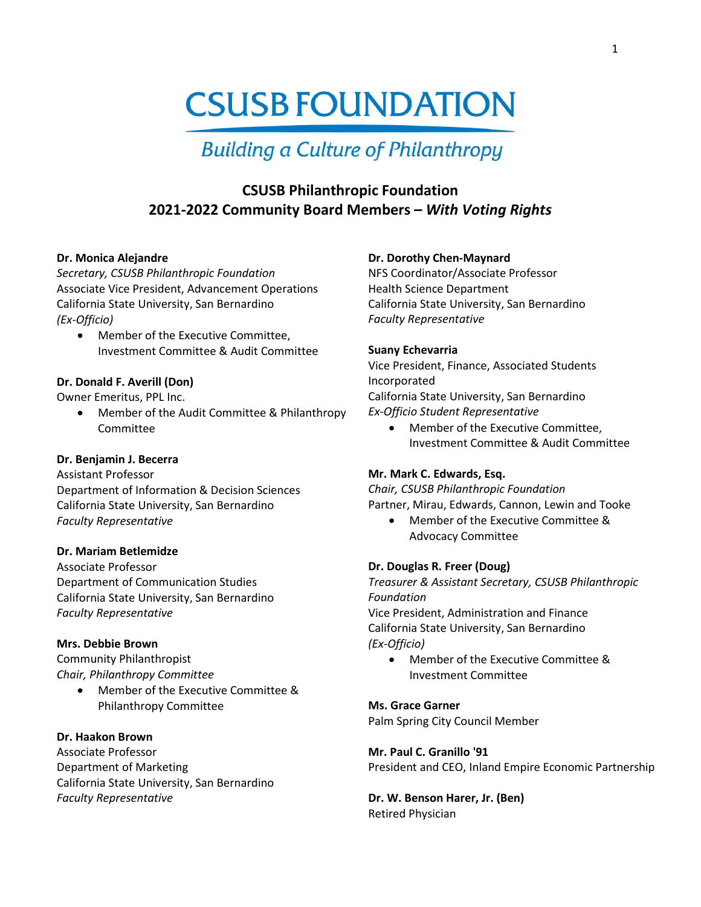# **CSUSB FOUNDATION**

# **Building a Culture of Philanthropy**

# **CSUSB Philanthropic Foundation 2021-2022 Community Board Members –** *With Voting Rights*

#### **Dr. Monica Alejandre**

*Secretary, CSUSB Philanthropic Foundation* Associate Vice President, Advancement Operations California State University, San Bernardino *(Ex-Officio)*

• Member of the Executive Committee, Investment Committee & Audit Committee

# **Dr. Donald F. Averill (Don)**

Owner Emeritus, PPL Inc.

• Member of the Audit Committee & Philanthropy Committee

# **Dr. Benjamin J. Becerra**

Assistant Professor Department of Information & Decision Sciences California State University, San Bernardino *Faculty Representative*

#### **Dr. Mariam Betlemidze**

Associate Professor Department of Communication Studies California State University, San Bernardino *Faculty Representative*

#### **Mrs. Debbie Brown**

Community Philanthropist *Chair, Philanthropy Committee*

> • Member of the Executive Committee & Philanthropy Committee

# **Dr. Haakon Brown**

Associate Professor Department of Marketing California State University, San Bernardino *Faculty Representative*

#### **Dr. Dorothy Chen-Maynard**

NFS Coordinator/Associate Professor Health Science Department California State University, San Bernardino *Faculty Representative*

#### **Suany Echevarria**

Vice President, Finance, Associated Students Incorporated California State University, San Bernardino *Ex-Officio Student Representative* 

• Member of the Executive Committee, Investment Committee & Audit Committee

#### **Mr. Mark C. Edwards, Esq.**

*Chair, CSUSB Philanthropic Foundation* Partner, Mirau, Edwards, Cannon, Lewin and Tooke

• Member of the Executive Committee & Advocacy Committee

#### **Dr. Douglas R. Freer (Doug)**

*Treasurer & Assistant Secretary, CSUSB Philanthropic Foundation* Vice President, Administration and Finance California State University, San Bernardino *(Ex-Officio)*

• Member of the Executive Committee & Investment Committee

#### **Ms. Grace Garner**

Palm Spring City Council Member

**Mr. Paul C. Granillo '91** President and CEO, Inland Empire Economic Partnership

**Dr. W. Benson Harer, Jr. (Ben)** Retired Physician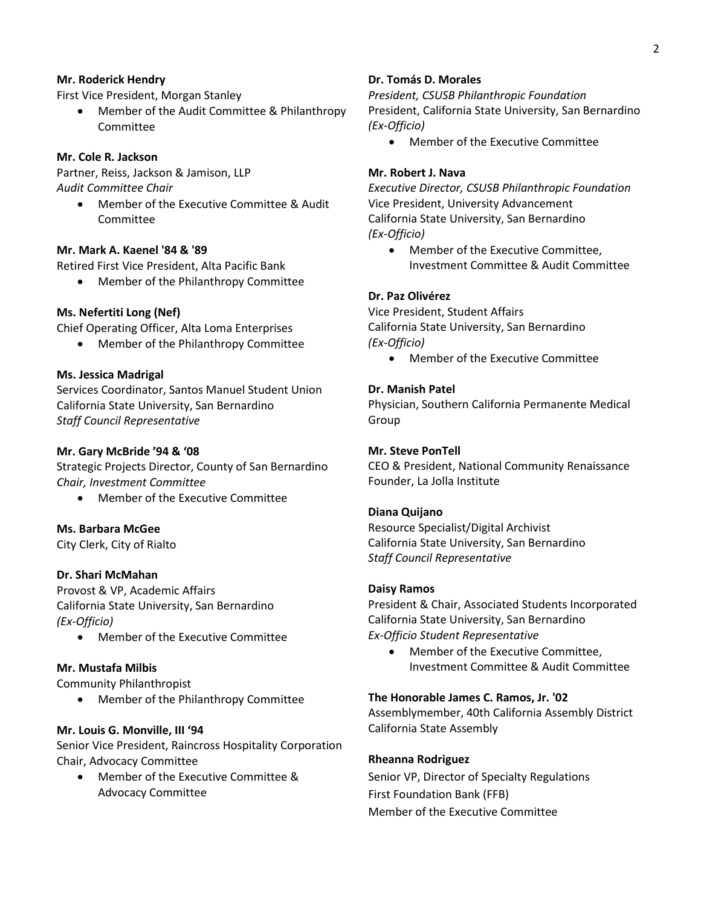#### **Mr. Roderick Hendry**

First Vice President, Morgan Stanley

• Member of the Audit Committee & Philanthropy Committee

# **Mr. Cole R. Jackson**

Partner, Reiss, Jackson & Jamison, LLP *Audit Committee Chair*

• Member of the Executive Committee & Audit Committee

#### **Mr. Mark A. Kaenel '84 & '89**

Retired First Vice President, Alta Pacific Bank

• Member of the Philanthropy Committee

#### **Ms. Nefertiti Long (Nef)**

Chief Operating Officer, Alta Loma Enterprises

• Member of the Philanthropy Committee

#### **Ms. Jessica Madrigal**

Services Coordinator, Santos Manuel Student Union California State University, San Bernardino *Staff Council Representative*

#### **Mr. Gary McBride '94 & '08**

Strategic Projects Director, County of San Bernardino *Chair, Investment Committee*

• Member of the Executive Committee

#### **Ms. Barbara McGee**

City Clerk, City of Rialto

#### **Dr. Shari McMahan**

Provost & VP, Academic Affairs California State University, San Bernardino *(Ex-Officio)*

• Member of the Executive Committee

#### **Mr. Mustafa Milbis**

Community Philanthropist

• Member of the Philanthropy Committee

#### **Mr. Louis G. Monville, III '94**

Senior Vice President, Raincross Hospitality Corporation Chair, Advocacy Committee

• Member of the Executive Committee & Advocacy Committee

#### **Dr. Tomás D. Morales**

*President, CSUSB Philanthropic Foundation* President, California State University, San Bernardino *(Ex-Officio)*

• Member of the Executive Committee

#### **Mr. Robert J. Nava**

*Executive Director, CSUSB Philanthropic Foundation* Vice President, University Advancement California State University, San Bernardino *(Ex-Officio)*

• Member of the Executive Committee, Investment Committee & Audit Committee

#### **Dr. Paz Olivérez**

Vice President, Student Affairs California State University, San Bernardino *(Ex-Officio)*

• Member of the Executive Committee

#### **Dr. Manish Patel**

Physician, Southern California Permanente Medical Group

#### **Mr. Steve PonTell**

CEO & President, National Community Renaissance Founder, La Jolla Institute

#### **Diana Quijano**

Resource Specialist/Digital Archivist California State University, San Bernardino *Staff Council Representative*

#### **Daisy Ramos**

President & Chair, Associated Students Incorporated California State University, San Bernardino *Ex-Officio Student Representative* 

• Member of the Executive Committee, Investment Committee & Audit Committee

#### **The Honorable James C. Ramos, Jr. '02**

Assemblymember, 40th California Assembly District California State Assembly

#### **Rheanna Rodriguez**

Senior VP, Director of Specialty Regulations First Foundation Bank (FFB) Member of the Executive Committee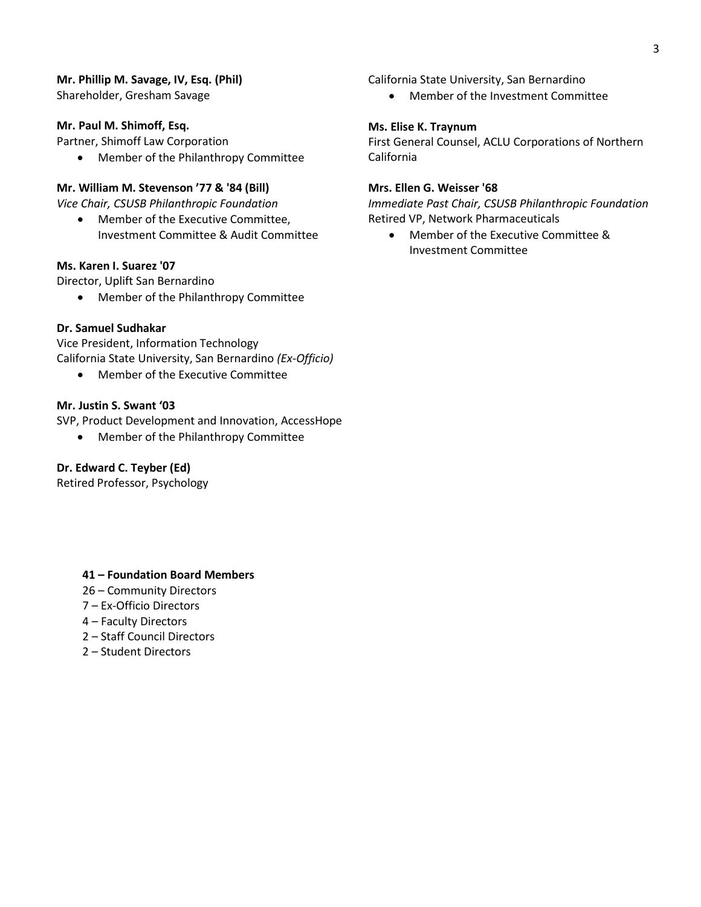# **Mr. Phillip M. Savage, IV, Esq. (Phil)**

Shareholder, Gresham Savage

# **Mr. Paul M. Shimoff, Esq.**

Partner, Shimoff Law Corporation

• Member of the Philanthropy Committee

# **Mr. William M. Stevenson '77 & '84 (Bill)**

*Vice Chair, CSUSB Philanthropic Foundation*

• Member of the Executive Committee, Investment Committee & Audit Committee

# **Ms. Karen I. Suarez '07**

Director, Uplift San Bernardino

• Member of the Philanthropy Committee

# **Dr. Samuel Sudhakar**

Vice President, Information Technology California State University, San Bernardino *(Ex-Officio)*

• Member of the Executive Committee

# **Mr. Justin S. Swant '03**

SVP, Product Development and Innovation, AccessHope

• Member of the Philanthropy Committee

# **Dr. Edward C. Teyber (Ed)**

Retired Professor, Psychology

# **41 – Foundation Board Members**

- 26 Community Directors
- 7 Ex-Officio Directors
- 4 Faculty Directors
- 2 Staff Council Directors
- 2 Student Directors

California State University, San Bernardino

• Member of the Investment Committee

# **Ms. Elise K. Traynum**

First General Counsel, ACLU Corporations of Northern California

# **Mrs. Ellen G. Weisser '68**

*Immediate Past Chair, CSUSB Philanthropic Foundation* Retired VP, Network Pharmaceuticals

• Member of the Executive Committee & Investment Committee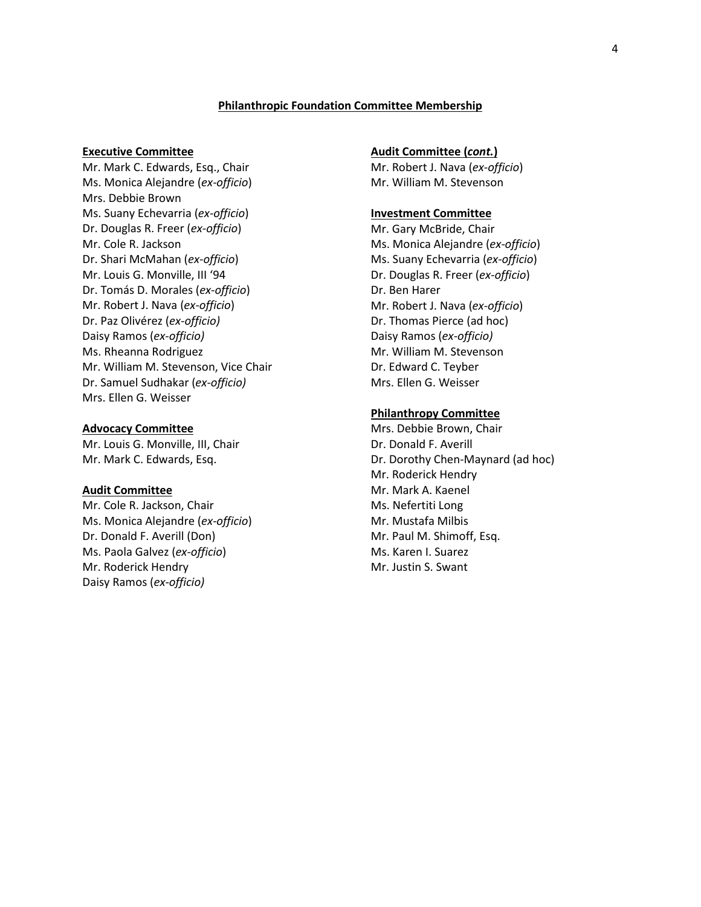#### **Philanthropic Foundation Committee Membership**

#### **Executive Committee**

Mr. Mark C. Edwards, Esq., Chair Ms. Monica Alejandre (*ex-officio*) Mrs. Debbie Brown Ms. Suany Echevarria (*ex-officio*) Dr. Douglas R. Freer (*ex-officio*) Mr. Cole R. Jackson Dr. Shari McMahan (*ex-officio*) Mr. Louis G. Monville, III '94 Dr. Tomás D. Morales (*ex-officio*) Mr. Robert J. Nava (*ex-officio*) Dr. Paz Olivérez (*ex-officio)* Daisy Ramos (*ex-officio)* Ms. Rheanna Rodriguez Mr. William M. Stevenson, Vice Chair Dr. Samuel Sudhakar (*ex-officio)* Mrs. Ellen G. Weisser

#### **Advocacy Committee**

Mr. Louis G. Monville, III, Chair Mr. Mark C. Edwards, Esq.

#### **Audit Committee**

Mr. Cole R. Jackson, Chair Ms. Monica Alejandre (*ex-officio*) Dr. Donald F. Averill (Don) Ms. Paola Galvez (*ex-officio*) Mr. Roderick Hendry Daisy Ramos (*ex-officio)*

#### **Audit Committee (***cont.***)**

Mr. Robert J. Nava (*ex-officio*) Mr. William M. Stevenson

#### **Investment Committee**

Mr. Gary McBride, Chair Ms. Monica Alejandre (*ex-officio*) Ms. Suany Echevarria (*ex-officio*) Dr. Douglas R. Freer (*ex-officio*) Dr. Ben Harer Mr. Robert J. Nava (*ex-officio*) Dr. Thomas Pierce (ad hoc) Daisy Ramos (*ex-officio)* Mr. William M. Stevenson Dr. Edward C. Teyber Mrs. Ellen G. Weisser

#### **Philanthropy Committee**

Mrs. Debbie Brown, Chair Dr. Donald F. Averill Dr. Dorothy Chen-Maynard (ad hoc) Mr. Roderick Hendry Mr. Mark A. Kaenel Ms. Nefertiti Long Mr. Mustafa Milbis Mr. Paul M. Shimoff, Esq. Ms. Karen I. Suarez Mr. Justin S. Swant